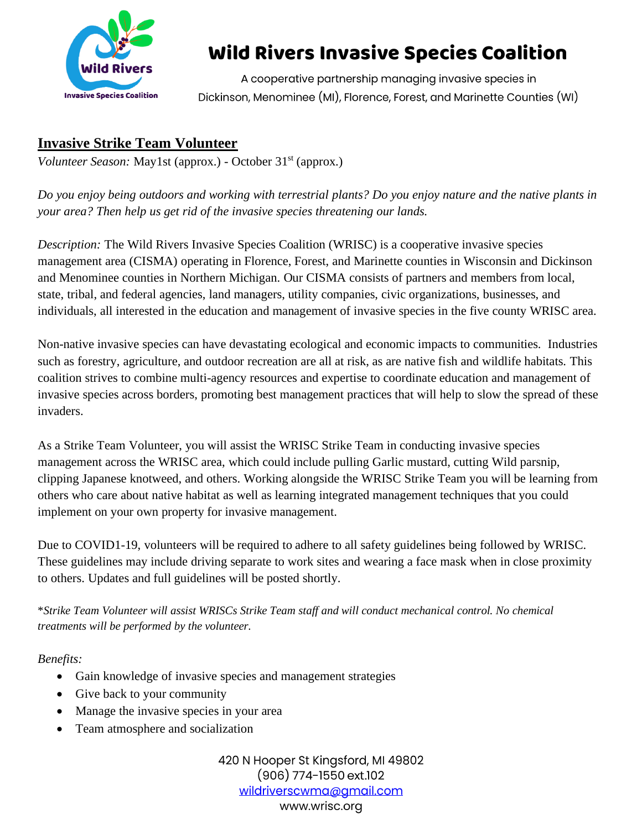

# Wild Rivers Invasive Species Coalition

A cooperative partnership managing invasive species in Dickinson, Menominee (MI), Florence, Forest, and Marinette Counties (WI)

### **Invasive Strike Team Volunteer**

*Volunteer Season:* May1st (approx.) - October 31<sup>st</sup> (approx.)

*Do you enjoy being outdoors and working with terrestrial plants? Do you enjoy nature and the native plants in your area? Then help us get rid of the invasive species threatening our lands.*

*Description:* The Wild Rivers Invasive Species Coalition (WRISC) is a cooperative invasive species management area (CISMA) operating in Florence, Forest, and Marinette counties in Wisconsin and Dickinson and Menominee counties in Northern Michigan. Our CISMA consists of partners and members from local, state, tribal, and federal agencies, land managers, utility companies, civic organizations, businesses, and individuals, all interested in the education and management of invasive species in the five county WRISC area.

Non-native invasive species can have devastating ecological and economic impacts to communities. Industries such as forestry, agriculture, and outdoor recreation are all at risk, as are native fish and wildlife habitats. This coalition strives to combine multi-agency resources and expertise to coordinate education and management of invasive species across borders, promoting best management practices that will help to slow the spread of these invaders.

As a Strike Team Volunteer, you will assist the WRISC Strike Team in conducting invasive species management across the WRISC area, which could include pulling Garlic mustard, cutting Wild parsnip, clipping Japanese knotweed, and others. Working alongside the WRISC Strike Team you will be learning from others who care about native habitat as well as learning integrated management techniques that you could implement on your own property for invasive management.

Due to COVID1-19, volunteers will be required to adhere to all safety guidelines being followed by WRISC. These guidelines may include driving separate to work sites and wearing a face mask when in close proximity to others. Updates and full guidelines will be posted shortly.

\**Strike Team Volunteer will assist WRISCs Strike Team staff and will conduct mechanical control. No chemical treatments will be performed by the volunteer.* 

*Benefits:*

- Gain knowledge of invasive species and management strategies
- Give back to your community
- Manage the invasive species in your area
- Team atmosphere and socialization

420 N Hooper St Kingsford, MI 49802  $(906)$  774-1550 ext.102 wildriverscwma@amail.com www.wrisc.org